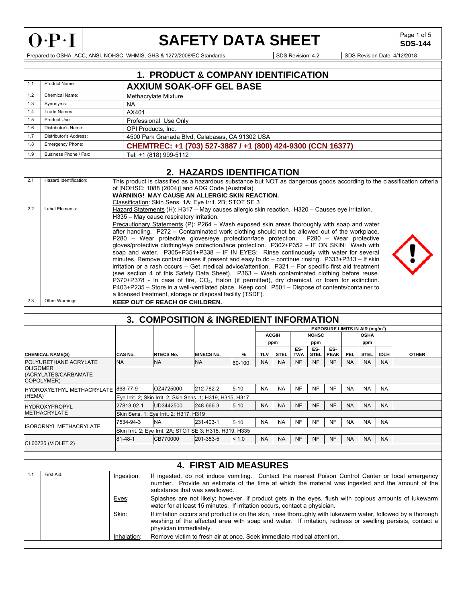

 $\overline{\phantom{a}}$ 

### **SAFETY DATA SHEET**

**SDS-144**

Prepared to OSHA, ACC, ANSI, NOHSC, WHMIS, GHS & 1272/2008/EC Standards Superintendent Superintendent Superintendent Superintendent Superintendent Superintendent Superintendent Superintendent Superintendent Superintendent

|                     |                           |                                 | 1. PRODUCT & COMPANY IDENTIFICATION                                                                                                                                                        |                                                                       |          |           |              |           |              |                                                  |            |             |             |                                                                                                                                                                                                                           |
|---------------------|---------------------------|---------------------------------|--------------------------------------------------------------------------------------------------------------------------------------------------------------------------------------------|-----------------------------------------------------------------------|----------|-----------|--------------|-----------|--------------|--------------------------------------------------|------------|-------------|-------------|---------------------------------------------------------------------------------------------------------------------------------------------------------------------------------------------------------------------------|
| 1.1                 | Product Name:             | <b>AXXIUM SOAK-OFF GEL BASE</b> |                                                                                                                                                                                            |                                                                       |          |           |              |           |              |                                                  |            |             |             |                                                                                                                                                                                                                           |
| 1.2                 | <b>Chemical Name:</b>     |                                 | Methacrylate Mixture                                                                                                                                                                       |                                                                       |          |           |              |           |              |                                                  |            |             |             |                                                                                                                                                                                                                           |
| 1.3                 | Synonyms:                 | NA                              |                                                                                                                                                                                            |                                                                       |          |           |              |           |              |                                                  |            |             |             |                                                                                                                                                                                                                           |
| 1.4                 | Trade Names:              | AX401                           |                                                                                                                                                                                            |                                                                       |          |           |              |           |              |                                                  |            |             |             |                                                                                                                                                                                                                           |
| 1.5                 | Product Use:              |                                 | Professional Use Only                                                                                                                                                                      |                                                                       |          |           |              |           |              |                                                  |            |             |             |                                                                                                                                                                                                                           |
| 1.6                 | Distributor's Name:       |                                 | OPI Products, Inc.                                                                                                                                                                         |                                                                       |          |           |              |           |              |                                                  |            |             |             |                                                                                                                                                                                                                           |
| 1.7                 | Distributor's Address:    |                                 | 4500 Park Granada Blvd, Calabasas, CA 91302 USA                                                                                                                                            |                                                                       |          |           |              |           |              |                                                  |            |             |             |                                                                                                                                                                                                                           |
| 1.8                 | Emergency Phone:          |                                 | CHEMTREC: +1 (703) 527-3887 / +1 (800) 424-9300 (CCN 16377)                                                                                                                                |                                                                       |          |           |              |           |              |                                                  |            |             |             |                                                                                                                                                                                                                           |
| 1.9                 | Business Phone / Fax:     |                                 | Tel: +1 (818) 999-5112                                                                                                                                                                     |                                                                       |          |           |              |           |              |                                                  |            |             |             |                                                                                                                                                                                                                           |
|                     |                           |                                 |                                                                                                                                                                                            | 2. HAZARDS IDENTIFICATION                                             |          |           |              |           |              |                                                  |            |             |             |                                                                                                                                                                                                                           |
| 2.1                 | Hazard Identification:    |                                 |                                                                                                                                                                                            |                                                                       |          |           |              |           |              |                                                  |            |             |             | This product is classified as a hazardous substance but NOT as dangerous goods according to the classification criteria                                                                                                   |
|                     |                           |                                 | of [NOHSC: 1088 (2004)] and ADG Code (Australia).                                                                                                                                          |                                                                       |          |           |              |           |              |                                                  |            |             |             |                                                                                                                                                                                                                           |
|                     |                           |                                 | <b>WARNING! MAY CAUSE AN ALLERGIC SKIN REACTION.</b>                                                                                                                                       |                                                                       |          |           |              |           |              |                                                  |            |             |             |                                                                                                                                                                                                                           |
| 2.2                 | Label Elements:           |                                 | Classification: Skin Sens. 1A; Eye Irrit. 2B; STOT SE 3<br>Hazard Statements (H): H317 - May causes allergic skin reaction. H320 - Causes eye irritation.                                  |                                                                       |          |           |              |           |              |                                                  |            |             |             |                                                                                                                                                                                                                           |
|                     |                           |                                 | H335 - May cause respiratory irritation.                                                                                                                                                   |                                                                       |          |           |              |           |              |                                                  |            |             |             |                                                                                                                                                                                                                           |
|                     |                           |                                 | Precautionary Statements (P): P264 - Wash exposed skin areas thoroughly with soap and water                                                                                                |                                                                       |          |           |              |           |              |                                                  |            |             |             |                                                                                                                                                                                                                           |
|                     |                           |                                 | after handling. P272 - Contaminated work clothing should not be allowed out of the workplace.                                                                                              |                                                                       |          |           |              |           |              |                                                  |            |             |             |                                                                                                                                                                                                                           |
|                     |                           |                                 | P280 - Wear protective gloves/eye protection/face protection. P280 - Wear protective                                                                                                       |                                                                       |          |           |              |           |              |                                                  |            |             |             |                                                                                                                                                                                                                           |
|                     |                           |                                 | gloves/protective clothing/eye protection/face protection. P302+P352 - IF ON SKIN: Wash with                                                                                               |                                                                       |          |           |              |           |              |                                                  |            |             |             |                                                                                                                                                                                                                           |
|                     |                           |                                 | soap and water. P305+P351+P338 - IF IN EYES: Rinse continuously with water for several<br>minutes. Remove contact lenses if present and easy to do – continue rinsing. P333+P313 – If skin |                                                                       |          |           |              |           |              |                                                  |            |             |             |                                                                                                                                                                                                                           |
|                     |                           |                                 | irritation or a rash occurs – Get medical advice/attention. P321 – For specific first aid treatment                                                                                        |                                                                       |          |           |              |           |              |                                                  |            |             |             |                                                                                                                                                                                                                           |
|                     |                           |                                 | (see section 4 of this Safety Data Sheet). P363 - Wash contaminated clothing before reuse.                                                                                                 |                                                                       |          |           |              |           |              |                                                  |            |             |             |                                                                                                                                                                                                                           |
|                     |                           |                                 | P370+P378 - In case of fire, CO <sub>2</sub> , Halon (if permitted), dry chemical, or foam for extinction.                                                                                 |                                                                       |          |           |              |           |              |                                                  |            |             |             |                                                                                                                                                                                                                           |
|                     |                           |                                 | P403+P235 - Store in a well-ventilated place. Keep cool. P501 - Dispose of contents/container to                                                                                           |                                                                       |          |           |              |           |              |                                                  |            |             |             |                                                                                                                                                                                                                           |
|                     |                           |                                 | a licensed treatment, storage or disposal facility (TSDF).                                                                                                                                 |                                                                       |          |           |              |           |              |                                                  |            |             |             |                                                                                                                                                                                                                           |
| 2.3                 | Other Warnings:           |                                 | KEEP OUT OF REACH OF CHILDREN.                                                                                                                                                             |                                                                       |          |           |              |           |              |                                                  |            |             |             |                                                                                                                                                                                                                           |
|                     |                           |                                 |                                                                                                                                                                                            |                                                                       |          |           |              |           |              |                                                  |            |             |             |                                                                                                                                                                                                                           |
|                     |                           |                                 | 3. COMPOSITION & INGREDIENT INFORMATION                                                                                                                                                    |                                                                       |          |           |              |           |              |                                                  |            |             |             |                                                                                                                                                                                                                           |
|                     |                           |                                 |                                                                                                                                                                                            |                                                                       |          |           |              |           |              | <b>EXPOSURE LIMITS IN AIR (mg/m<sup>3</sup>)</b> |            |             |             |                                                                                                                                                                                                                           |
|                     |                           |                                 |                                                                                                                                                                                            |                                                                       |          |           | <b>ACGIH</b> |           | <b>NOHSC</b> |                                                  |            | <b>OSHA</b> |             |                                                                                                                                                                                                                           |
|                     |                           |                                 |                                                                                                                                                                                            |                                                                       |          |           | ppm          | ES-       | ppm<br>ES-   | ES-                                              |            | ppm         |             |                                                                                                                                                                                                                           |
|                     | <b>CHEMICAL NAME(S)</b>   | CAS No.                         | <b>RTECS No.</b>                                                                                                                                                                           | <b>EINECS No.</b>                                                     | ℅        | TLV       | <b>STEL</b>  | TWA       | <b>STEL</b>  | <b>PEAK</b>                                      | <b>PEL</b> | <b>STEL</b> | <b>IDLH</b> | <b>OTHER</b>                                                                                                                                                                                                              |
|                     | POLYURETHANE ACRYLATE     | <b>NA</b>                       | <b>NA</b>                                                                                                                                                                                  | <b>NA</b>                                                             | 60-100   | <b>NA</b> | <b>NA</b>    | <b>NF</b> | <b>NF</b>    | <b>NF</b>                                        | <b>NA</b>  | <b>NA</b>   | <b>NA</b>   |                                                                                                                                                                                                                           |
| <b>OLIGOMER</b>     | (ACRYLATES/CARBAMATE      |                                 |                                                                                                                                                                                            |                                                                       |          |           |              |           |              |                                                  |            |             |             |                                                                                                                                                                                                                           |
|                     | COPOLYMER)                |                                 |                                                                                                                                                                                            |                                                                       |          |           |              |           |              |                                                  |            |             |             |                                                                                                                                                                                                                           |
|                     | HYDROXYETHYL METHACRYLATE | 868-77-9                        | OZ4725000                                                                                                                                                                                  | 212-782-2                                                             | $5 - 10$ | <b>NA</b> | <b>NA</b>    | <b>NF</b> | <b>NF</b>    | <b>NF</b>                                        | NA         | <b>NA</b>   | <b>NA</b>   |                                                                                                                                                                                                                           |
| (HEMA)              |                           |                                 | Eye Irrit. 2; Skin Irrit. 2; Skin Sens. 1; H319, H315, H317                                                                                                                                |                                                                       |          |           |              |           |              |                                                  |            |             |             |                                                                                                                                                                                                                           |
|                     | <b>HYDROXYPROPYL</b>      | 27813-02-1                      | UD3442500                                                                                                                                                                                  | 248-666-3                                                             | $5 - 10$ | <b>NA</b> | NA.          | <b>NF</b> | <b>NF</b>    | <b>NF</b>                                        | <b>NA</b>  | <b>NA</b>   | <b>NA</b>   |                                                                                                                                                                                                                           |
|                     | <b>METHACRYLATE</b>       |                                 | Skin Sens. 1; Eye Irrit. 2; H317, H319                                                                                                                                                     |                                                                       |          |           |              |           |              |                                                  |            |             |             |                                                                                                                                                                                                                           |
|                     |                           | 7534-94-3                       | <b>NA</b>                                                                                                                                                                                  | 231-403-1                                                             | $5 - 10$ | <b>NA</b> | <b>NA</b>    | NF        | NF           | NF                                               | NA         | NA          | NA          |                                                                                                                                                                                                                           |
|                     | ISOBORNYL METHACRYLATE    |                                 | Skin Irrit. 2; Eye Irrit. 2A; STOT SE 3; H315, H319, H335                                                                                                                                  |                                                                       |          |           |              |           |              |                                                  |            |             |             |                                                                                                                                                                                                                           |
|                     |                           | $81 - 48 - 1$                   | CB770000                                                                                                                                                                                   | 201-353-5                                                             | < 1.0    | <b>NA</b> | NA           | NF        | <b>NF</b>    | <b>NF</b>                                        | NA.        | NA          | <b>NA</b>   |                                                                                                                                                                                                                           |
| CI 60725 (VIOLET 2) |                           |                                 |                                                                                                                                                                                            |                                                                       |          |           |              |           |              |                                                  |            |             |             |                                                                                                                                                                                                                           |
|                     |                           |                                 |                                                                                                                                                                                            |                                                                       |          |           |              |           |              |                                                  |            |             |             |                                                                                                                                                                                                                           |
|                     |                           |                                 |                                                                                                                                                                                            | <b>4. FIRST AID MEASURES</b>                                          |          |           |              |           |              |                                                  |            |             |             |                                                                                                                                                                                                                           |
| 4.1                 | First Aid:                | Ingestion:                      |                                                                                                                                                                                            |                                                                       |          |           |              |           |              |                                                  |            |             |             | If ingested, do not induce vomiting. Contact the nearest Poison Control Center or local emergency                                                                                                                         |
|                     |                           |                                 | substance that was swallowed.                                                                                                                                                              |                                                                       |          |           |              |           |              |                                                  |            |             |             | number. Provide an estimate of the time at which the material was ingested and the amount of the                                                                                                                          |
|                     |                           | Eyes:                           | water for at least 15 minutes. If irritation occurs, contact a physician.                                                                                                                  |                                                                       |          |           |              |           |              |                                                  |            |             |             | Splashes are not likely; however, if product gets in the eyes, flush with copious amounts of lukewarm                                                                                                                     |
|                     |                           | Skin:                           | physician immediately.                                                                                                                                                                     |                                                                       |          |           |              |           |              |                                                  |            |             |             | If irritation occurs and product is on the skin, rinse thoroughly with lukewarm water, followed by a thorough<br>washing of the affected area with soap and water. If irritation, redness or swelling persists, contact a |
|                     |                           | Inhalation:                     |                                                                                                                                                                                            | Remove victim to fresh air at once. Seek immediate medical attention. |          |           |              |           |              |                                                  |            |             |             |                                                                                                                                                                                                                           |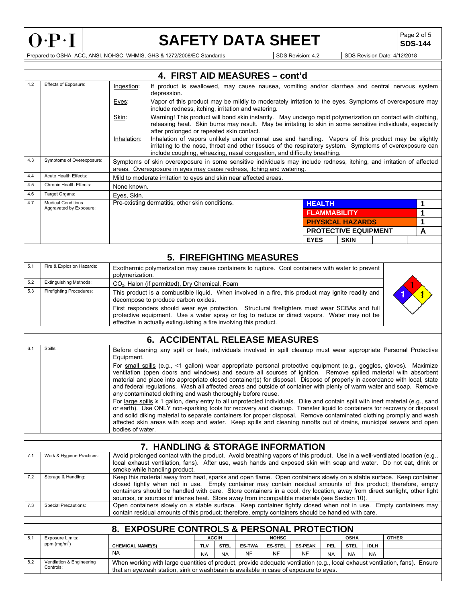

Г

# **SAFETY DATA SHEET**  $\left|\begin{array}{c} \text{Page 2 of 5} \\ \text{SDS-144} \end{array}\right|$

**SDS-144**

Prepared to OSHA, ACC, ANSI, NOHSC, WHMIS, GHS & 1272/2008/EC Standards Superintendent Superintendent Superintendent SDS Revision: 4.2 SDS Revision Date: 4/12/2018

|     |                                                      |                                                                                                                                                                                                                                                                                                                                                                                                                                                                                                                                                                                                                                                                                                                                                                                                                                                                                                                                                                                                                                                                                                |                                                                                                                                                                                                                                                                                            | 4. FIRST AID MEASURES - cont'd  |               |                |                              |                     |                                        |                             |              |                  |
|-----|------------------------------------------------------|------------------------------------------------------------------------------------------------------------------------------------------------------------------------------------------------------------------------------------------------------------------------------------------------------------------------------------------------------------------------------------------------------------------------------------------------------------------------------------------------------------------------------------------------------------------------------------------------------------------------------------------------------------------------------------------------------------------------------------------------------------------------------------------------------------------------------------------------------------------------------------------------------------------------------------------------------------------------------------------------------------------------------------------------------------------------------------------------|--------------------------------------------------------------------------------------------------------------------------------------------------------------------------------------------------------------------------------------------------------------------------------------------|---------------------------------|---------------|----------------|------------------------------|---------------------|----------------------------------------|-----------------------------|--------------|------------------|
| 4.2 | Effects of Exposure:                                 | If product is swallowed, may cause nausea, vomiting and/or diarrhea and central nervous system<br>Ingestion:<br>depression.                                                                                                                                                                                                                                                                                                                                                                                                                                                                                                                                                                                                                                                                                                                                                                                                                                                                                                                                                                    |                                                                                                                                                                                                                                                                                            |                                 |               |                |                              |                     |                                        |                             |              |                  |
|     |                                                      | Vapor of this product may be mildly to moderately irritation to the eyes. Symptoms of overexposure may<br>Eyes:<br>include redness, itching, irritation and watering.                                                                                                                                                                                                                                                                                                                                                                                                                                                                                                                                                                                                                                                                                                                                                                                                                                                                                                                          |                                                                                                                                                                                                                                                                                            |                                 |               |                |                              |                     |                                        |                             |              |                  |
|     |                                                      | Skin:                                                                                                                                                                                                                                                                                                                                                                                                                                                                                                                                                                                                                                                                                                                                                                                                                                                                                                                                                                                                                                                                                          | Warning! This product will bond skin instantly. May undergo rapid polymerization on contact with clothing,<br>releasing heat. Skin burns may result. May be irritating to skin in some sensitive individuals, especially<br>after prolonged or repeated skin contact.                      |                                 |               |                |                              |                     |                                        |                             |              |                  |
|     |                                                      | Inhalation:                                                                                                                                                                                                                                                                                                                                                                                                                                                                                                                                                                                                                                                                                                                                                                                                                                                                                                                                                                                                                                                                                    | Inhalation of vapors unlikely under normal use and handling. Vapors of this product may be slightly<br>irritating to the nose, throat and other tissues of the respiratory system. Symptoms of overexposure can<br>include coughing, wheezing, nasal congestion, and difficulty breathing. |                                 |               |                |                              |                     |                                        |                             |              |                  |
| 4.3 | Symptoms of Overexposure:                            |                                                                                                                                                                                                                                                                                                                                                                                                                                                                                                                                                                                                                                                                                                                                                                                                                                                                                                                                                                                                                                                                                                | Symptoms of skin overexposure in some sensitive individuals may include redness, itching, and irritation of affected<br>areas. Overexposure in eyes may cause redness, itching and watering.                                                                                               |                                 |               |                |                              |                     |                                        |                             |              |                  |
| 4.4 | Acute Health Effects:                                |                                                                                                                                                                                                                                                                                                                                                                                                                                                                                                                                                                                                                                                                                                                                                                                                                                                                                                                                                                                                                                                                                                | Mild to moderate irritation to eyes and skin near affected areas.                                                                                                                                                                                                                          |                                 |               |                |                              |                     |                                        |                             |              |                  |
| 4.5 | Chronic Health Effects:                              | None known.                                                                                                                                                                                                                                                                                                                                                                                                                                                                                                                                                                                                                                                                                                                                                                                                                                                                                                                                                                                                                                                                                    |                                                                                                                                                                                                                                                                                            |                                 |               |                |                              |                     |                                        |                             |              |                  |
| 4.6 | Target Organs:                                       | Eyes, Skin.                                                                                                                                                                                                                                                                                                                                                                                                                                                                                                                                                                                                                                                                                                                                                                                                                                                                                                                                                                                                                                                                                    |                                                                                                                                                                                                                                                                                            |                                 |               |                |                              |                     |                                        |                             |              |                  |
| 4.7 | <b>Medical Conditions</b><br>Aggravated by Exposure: |                                                                                                                                                                                                                                                                                                                                                                                                                                                                                                                                                                                                                                                                                                                                                                                                                                                                                                                                                                                                                                                                                                | Pre-existing dermatitis, other skin conditions.                                                                                                                                                                                                                                            |                                 |               |                | <b>HEALTH</b><br><b>EYES</b> | <b>FLAMMABILITY</b> | <b>PHYSICAL HAZARDS</b><br><b>SKIN</b> | <b>PROTECTIVE EQUIPMENT</b> |              | 1<br>1<br>1<br>A |
|     |                                                      |                                                                                                                                                                                                                                                                                                                                                                                                                                                                                                                                                                                                                                                                                                                                                                                                                                                                                                                                                                                                                                                                                                |                                                                                                                                                                                                                                                                                            |                                 |               |                |                              |                     |                                        |                             |              |                  |
|     |                                                      |                                                                                                                                                                                                                                                                                                                                                                                                                                                                                                                                                                                                                                                                                                                                                                                                                                                                                                                                                                                                                                                                                                |                                                                                                                                                                                                                                                                                            | <b>5. FIREFIGHTING MEASURES</b> |               |                |                              |                     |                                        |                             |              |                  |
| 5.1 | Fire & Explosion Hazards:                            | polymerization.                                                                                                                                                                                                                                                                                                                                                                                                                                                                                                                                                                                                                                                                                                                                                                                                                                                                                                                                                                                                                                                                                | Exothermic polymerization may cause containers to rupture. Cool containers with water to prevent                                                                                                                                                                                           |                                 |               |                |                              |                     |                                        |                             |              |                  |
| 5.2 | <b>Extinguishing Methods:</b>                        |                                                                                                                                                                                                                                                                                                                                                                                                                                                                                                                                                                                                                                                                                                                                                                                                                                                                                                                                                                                                                                                                                                | CO <sub>2</sub> , Halon (if permitted), Dry Chemical, Foam                                                                                                                                                                                                                                 |                                 |               |                |                              |                     |                                        |                             |              |                  |
| 5.3 | Firefighting Procedures:                             |                                                                                                                                                                                                                                                                                                                                                                                                                                                                                                                                                                                                                                                                                                                                                                                                                                                                                                                                                                                                                                                                                                | This product is a combustible liquid. When involved in a fire, this product may ignite readily and<br>decompose to produce carbon oxides.                                                                                                                                                  |                                 |               |                |                              |                     |                                        |                             |              |                  |
|     |                                                      | First responders should wear eye protection. Structural firefighters must wear SCBAs and full<br>protective equipment. Use a water spray or fog to reduce or direct vapors. Water may not be<br>effective in actually extinguishing a fire involving this product.                                                                                                                                                                                                                                                                                                                                                                                                                                                                                                                                                                                                                                                                                                                                                                                                                             |                                                                                                                                                                                                                                                                                            |                                 |               |                |                              |                     |                                        |                             |              |                  |
|     |                                                      |                                                                                                                                                                                                                                                                                                                                                                                                                                                                                                                                                                                                                                                                                                                                                                                                                                                                                                                                                                                                                                                                                                | <b>6. ACCIDENTAL RELEASE MEASURES</b>                                                                                                                                                                                                                                                      |                                 |               |                |                              |                     |                                        |                             |              |                  |
| 6.1 | Spills:                                              | Equipment.                                                                                                                                                                                                                                                                                                                                                                                                                                                                                                                                                                                                                                                                                                                                                                                                                                                                                                                                                                                                                                                                                     | Before cleaning any spill or leak, individuals involved in spill cleanup must wear appropriate Personal Protective                                                                                                                                                                         |                                 |               |                |                              |                     |                                        |                             |              |                  |
|     |                                                      | For small spills (e.g., <1 gallon) wear appropriate personal protective equipment (e.g., goggles, gloves). Maximize<br>ventilation (open doors and windows) and secure all sources of ignition. Remove spilled material with absorbent<br>material and place into appropriate closed container(s) for disposal. Dispose of properly in accordance with local, state<br>and federal regulations. Wash all affected areas and outside of container with plenty of warm water and soap. Remove<br>any contaminated clothing and wash thoroughly before reuse.<br>For large spills $\geq 1$ gallon, deny entry to all unprotected individuals. Dike and contain spill with inert material (e.g., sand<br>or earth). Use ONLY non-sparking tools for recovery and cleanup. Transfer liquid to containers for recovery or disposal<br>and solid diking material to separate containers for proper disposal. Remove contaminated clothing promptly and wash<br>affected skin areas with soap and water. Keep spills and cleaning runoffs out of drains, municipal sewers and open<br>bodies of water. |                                                                                                                                                                                                                                                                                            |                                 |               |                |                              |                     |                                        |                             |              |                  |
|     |                                                      |                                                                                                                                                                                                                                                                                                                                                                                                                                                                                                                                                                                                                                                                                                                                                                                                                                                                                                                                                                                                                                                                                                |                                                                                                                                                                                                                                                                                            |                                 |               |                |                              |                     |                                        |                             |              |                  |
|     |                                                      |                                                                                                                                                                                                                                                                                                                                                                                                                                                                                                                                                                                                                                                                                                                                                                                                                                                                                                                                                                                                                                                                                                | 7. HANDLING & STORAGE INFORMATION                                                                                                                                                                                                                                                          |                                 |               |                |                              |                     |                                        |                             |              |                  |
| 7.1 | Work & Hygiene Practices:                            |                                                                                                                                                                                                                                                                                                                                                                                                                                                                                                                                                                                                                                                                                                                                                                                                                                                                                                                                                                                                                                                                                                | Avoid prolonged contact with the product. Avoid breathing vapors of this product. Use in a well-ventilated location (e.g.,<br>local exhaust ventilation, fans). After use, wash hands and exposed skin with soap and water. Do not eat, drink or<br>smoke while handling product.          |                                 |               |                |                              |                     |                                        |                             |              |                  |
| 7.2 | Storage & Handling:                                  | Keep this material away from heat, sparks and open flame. Open containers slowly on a stable surface. Keep container<br>closed tightly when not in use. Empty container may contain residual amounts of this product; therefore, empty<br>containers should be handled with care. Store containers in a cool, dry location, away from direct sunlight, other light<br>sources, or sources of intense heat. Store away from incompatible materials (see Section 10).                                                                                                                                                                                                                                                                                                                                                                                                                                                                                                                                                                                                                            |                                                                                                                                                                                                                                                                                            |                                 |               |                |                              |                     |                                        |                             |              |                  |
| 7.3 | <b>Special Precautions:</b>                          |                                                                                                                                                                                                                                                                                                                                                                                                                                                                                                                                                                                                                                                                                                                                                                                                                                                                                                                                                                                                                                                                                                | Open containers slowly on a stable surface. Keep container tightly closed when not in use. Empty containers may<br>contain residual amounts of this product; therefore, empty containers should be handled with care.                                                                      |                                 |               |                |                              |                     |                                        |                             |              |                  |
|     |                                                      |                                                                                                                                                                                                                                                                                                                                                                                                                                                                                                                                                                                                                                                                                                                                                                                                                                                                                                                                                                                                                                                                                                | 8. EXPOSURE CONTROLS & PERSONAL PROTECTION                                                                                                                                                                                                                                                 |                                 |               |                |                              |                     |                                        |                             |              |                  |
| 8.1 | <b>Exposure Limits:</b>                              |                                                                                                                                                                                                                                                                                                                                                                                                                                                                                                                                                                                                                                                                                                                                                                                                                                                                                                                                                                                                                                                                                                |                                                                                                                                                                                                                                                                                            | <b>ACGIH</b>                    |               | <b>NOHSC</b>   |                              |                     | <b>OSHA</b>                            |                             | <b>OTHER</b> |                  |
|     | ppm (mg/m <sup>3</sup> )                             | <b>CHEMICAL NAME(S)</b>                                                                                                                                                                                                                                                                                                                                                                                                                                                                                                                                                                                                                                                                                                                                                                                                                                                                                                                                                                                                                                                                        |                                                                                                                                                                                                                                                                                            | <b>TLV</b><br><b>STEL</b>       | <b>ES-TWA</b> | <b>ES-STEL</b> | <b>ES-PEAK</b>               | <b>PEL</b>          | <b>STEL</b>                            | <b>IDLH</b>                 |              |                  |
|     |                                                      | NA                                                                                                                                                                                                                                                                                                                                                                                                                                                                                                                                                                                                                                                                                                                                                                                                                                                                                                                                                                                                                                                                                             |                                                                                                                                                                                                                                                                                            | <b>NA</b><br><b>NA</b>          | NF            | <b>NF</b>      | <b>NF</b>                    | <b>NA</b>           | <b>NA</b>                              | <b>NA</b>                   |              |                  |
| 8.2 | Ventilation & Engineering<br>Controls:               |                                                                                                                                                                                                                                                                                                                                                                                                                                                                                                                                                                                                                                                                                                                                                                                                                                                                                                                                                                                                                                                                                                | When working with large quantities of product, provide adequate ventilation (e.g., local exhaust ventilation, fans). Ensure<br>that an eyewash station, sink or washbasin is available in case of exposure to eyes.                                                                        |                                 |               |                |                              |                     |                                        |                             |              |                  |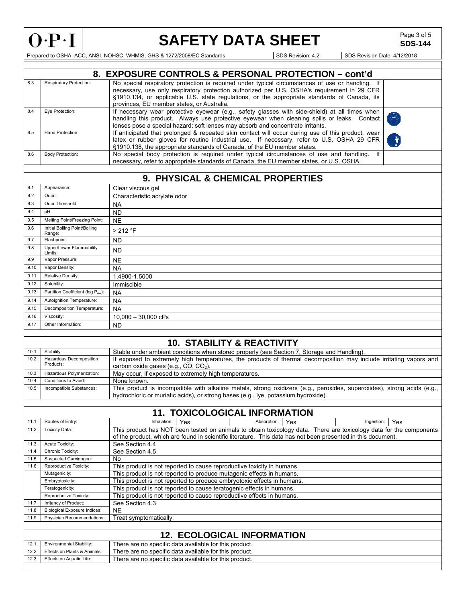

# **SAFETY DATA SHEET**  $\left|\begin{array}{c} \text{Page 3 of 5} \\ \text{SDS-144} \end{array}\right|$

**SDS-144**

Prepared to OSHA, ACC, ANSI, NOHSC, WHMIS, GHS & 1272/2008/EC Standards SUSS Revision: 4.2 SDS Revision: 4.2 SDS Revision Date: 4/12/2018

|            |                                      | 8. EXPOSURE CONTROLS & PERSONAL PROTECTION - cont'd                                                                                                                                                                                                                                                                                           |
|------------|--------------------------------------|-----------------------------------------------------------------------------------------------------------------------------------------------------------------------------------------------------------------------------------------------------------------------------------------------------------------------------------------------|
| 8.3        | <b>Respiratory Protection:</b>       | No special respiratory protection is required under typical circumstances of use or handling. If<br>necessary, use only respiratory protection authorized per U.S. OSHA's requirement in 29 CFR<br>§1910.134, or applicable U.S. state regulations, or the appropriate standards of Canada, its<br>provinces, EU member states, or Australia. |
| 8.4        | Eye Protection:                      | If necessary wear protective eyewear (e.g., safety glasses with side-shield) at all times when<br>handling this product. Always use protective eyewear when cleaning spills or leaks. Contact<br>lenses pose a special hazard; soft lenses may absorb and concentrate irritants.                                                              |
| 8.5        | Hand Protection:                     | If anticipated that prolonged & repeated skin contact will occur during use of this product, wear<br>latex or rubber gloves for routine industrial use. If necessary, refer to U.S. OSHA 29 CFR<br>§1910.138, the appropriate standards of Canada, of the EU member states.                                                                   |
| 8.6        | <b>Body Protection:</b>              | No special body protection is required under typical circumstances of use and handling.<br>lf<br>necessary, refer to appropriate standards of Canada, the EU member states, or U.S. OSHA.                                                                                                                                                     |
|            |                                      |                                                                                                                                                                                                                                                                                                                                               |
|            |                                      | 9. PHYSICAL & CHEMICAL PROPERTIES                                                                                                                                                                                                                                                                                                             |
| 9.1<br>9.2 | Appearance:<br>Odor:                 | Clear viscous gel                                                                                                                                                                                                                                                                                                                             |
| 9.3        | Odor Threshold:                      | Characteristic acrylate odor<br><b>NA</b>                                                                                                                                                                                                                                                                                                     |
| 9.4        | pH:                                  | <b>ND</b>                                                                                                                                                                                                                                                                                                                                     |
| 9.5        | Melting Point/Freezing Point:        | <b>NE</b>                                                                                                                                                                                                                                                                                                                                     |
| 9.6        | Initial Boiling Point/Boiling        | > 212 °F                                                                                                                                                                                                                                                                                                                                      |
|            | Range:                               |                                                                                                                                                                                                                                                                                                                                               |
| 9.7        | Flashpoint:                          | <b>ND</b>                                                                                                                                                                                                                                                                                                                                     |
| 9.8        | Upper/Lower Flammability<br>Limits:  | <b>ND</b>                                                                                                                                                                                                                                                                                                                                     |
| 9.9        | Vapor Pressure:                      | <b>NE</b>                                                                                                                                                                                                                                                                                                                                     |
| 9.10       | Vapor Density:                       | <b>NA</b>                                                                                                                                                                                                                                                                                                                                     |
| 9.11       | Relative Density:                    | 1.4900-1.5000                                                                                                                                                                                                                                                                                                                                 |
| 9.12       | Solubility:                          | Immiscible                                                                                                                                                                                                                                                                                                                                    |
| 9.13       | Partition Coefficient (log Pow):     | NA                                                                                                                                                                                                                                                                                                                                            |
| 9.14       | Autoignition Temperature:            | <b>NA</b>                                                                                                                                                                                                                                                                                                                                     |
| 9.15       | Decomposition Temperature:           | <b>NA</b>                                                                                                                                                                                                                                                                                                                                     |
| 9.16       | Viscosity:                           | $10,000 - 30,000$ cPs                                                                                                                                                                                                                                                                                                                         |
| 9.17       | Other Information:                   | <b>ND</b>                                                                                                                                                                                                                                                                                                                                     |
|            |                                      |                                                                                                                                                                                                                                                                                                                                               |
|            |                                      | <b>10. STABILITY &amp; REACTIVITY</b>                                                                                                                                                                                                                                                                                                         |
| 10.1       | Stability:                           | Stable under ambient conditions when stored properly (see Section 7, Storage and Handling).                                                                                                                                                                                                                                                   |
| 10.2       | Hazardous Decomposition<br>Products: | If exposed to extremely high temperatures, the products of thermal decomposition may include irritating vapors and<br>carbon oxide gases (e.g., CO, CO <sub>2</sub> ).                                                                                                                                                                        |
| 10.3       | Hazardous Polymerization:            | May occur, if exposed to extremely high temperatures.                                                                                                                                                                                                                                                                                         |
| 10.4       | Conditions to Avoid:                 | None known.                                                                                                                                                                                                                                                                                                                                   |
| 10.5       | Incompatible Substances:             | This product is incompatible with alkaline metals, strong oxidizers (e.g., peroxides, superoxides), strong acids (e.g.,<br>hydrochloric or muriatic acids), or strong bases (e.g., lye, potassium hydroxide).                                                                                                                                 |
|            |                                      | <b>11. TOXICOLOGICAL INFORMATION</b>                                                                                                                                                                                                                                                                                                          |
| 11.1       | Routes of Entry:                     | Inhalation:<br>Absorption: Yes<br>Ingestion:<br>Yes<br>Yes                                                                                                                                                                                                                                                                                    |
| 11.2       | <b>Toxicity Data:</b>                | This product has NOT been tested on animals to obtain toxicology data. There are toxicology data for the components<br>of the product, which are found in scientific literature. This data has not been presented in this document.                                                                                                           |
| 11.3       | Acute Toxicity:                      | See Section 4.4                                                                                                                                                                                                                                                                                                                               |
| 11.4       | Chronic Toxicity:                    | See Section 4.5                                                                                                                                                                                                                                                                                                                               |
| 11.5       | Suspected Carcinogen:                | No                                                                                                                                                                                                                                                                                                                                            |
| 11.6       | Reproductive Toxicity:               | This product is not reported to cause reproductive toxicity in humans.                                                                                                                                                                                                                                                                        |
|            | Mutagenicity:<br>Embryotoxicity:     | This product is not reported to produce mutagenic effects in humans.<br>This product is not reported to produce embryotoxic effects in humans.                                                                                                                                                                                                |
|            | Teratogenicity:                      | This product is not reported to cause teratogenic effects in humans.                                                                                                                                                                                                                                                                          |
|            | Reproductive Toxicity:               | This product is not reported to cause reproductive effects in humans.                                                                                                                                                                                                                                                                         |
| 11.7       | Irritancy of Product:                | See Section 4.3                                                                                                                                                                                                                                                                                                                               |
| 11.8       | <b>Biological Exposure Indices:</b>  | <b>NE</b>                                                                                                                                                                                                                                                                                                                                     |
| 11.9       | Physician Recommendations:           | Treat symptomatically.                                                                                                                                                                                                                                                                                                                        |
|            |                                      |                                                                                                                                                                                                                                                                                                                                               |
|            |                                      | <b>12. ECOLOGICAL INFORMATION</b>                                                                                                                                                                                                                                                                                                             |
| 12.1       | <b>Environmental Stability:</b>      | There are no specific data available for this product.                                                                                                                                                                                                                                                                                        |
| 12.2       | Effects on Plants & Animals:         | There are no specific data available for this product.                                                                                                                                                                                                                                                                                        |
| 12.3       | Effects on Aquatic Life:             | There are no specific data available for this product.                                                                                                                                                                                                                                                                                        |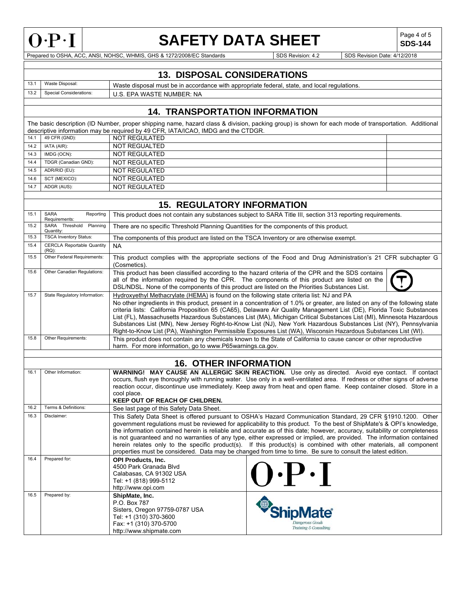

### **SAFETY DATA SHEET** SAFETY

**SDS-144**

Prepared to OSHA, ACC, ANSI, NOHSC, WHMIS, GHS & 1272/2008/EC Standards SDS Revision: 4.2 SDS Revision Date: 4/12/2018

#### **13. DISPOSAL CONSIDERATIONS**  13.1 Waste Disposal: Waste disposal must be in accordance with appropriate federal, state, and local regulations. 13.2 Special Considerations: | U.S. EPA WASTE NUMBER: NA **14. TRANSPORTATION INFORMATION**  The basic description (ID Number, proper shipping name, hazard class & division, packing group) is shown for each mode of transportation. Additional descriptive information may be required by 49 CFR, IATA/ICAO, IMDG and the CTDGR. 14.1 49 CFR (GND): NOT REGULATED 14.2 | IATA (AIR): NOT REGUALTED 14.3 | IMDG (OCN): NOT REGULATED 14.4 | TDGR (Canadian GND): | NOT REGULATED 14.5 ADR/RID (EU): NOT REGULATED 14.6 SCT (MEXICO): NOT REGULATED 14.7 ADGR (AUS): NOT REGULATED **15. REGULATORY INFORMATION**  15.1 SARA Reporting<br>Requirements: This product does not contain any substances subject to SARA Title III, section 313 reporting requirements. 15.2 SARA Threshold Planning SARA Threshold Planning There are no specific Threshold Planning Quantities for the components of this product.<br>TSCA Inventory Status:<br>TSCA Inventory Status: 15.3 TSCA Inventory Status: The components of this product are listed on the TSCA Inventory or are otherwise exempt. 15.4 CERCLA Reportable Quantity NA (RQ): 15.5 Other Federal Requirements: This product complies with the appropriate sections of the Food and Drug Administration's 21 CFR subchapter G (Cosmetics). 15.6 Other Canadian Regulations: This product has been classified according to the hazard criteria of the CPR and the SDS contains all of the information required by the CPR. The components of this product are listed on the DSL/NDSL. None of the components of this product are listed on the Priorities Substances List. 15.7 State Regulatory Information: | Hydroxyethyl Methacrylate (HEMA) is found on the following state criteria list: NJ and PA No other ingredients in this product, present in a concentration of 1.0% or greater, are listed on any of the following state criteria lists: California Proposition 65 (CA65), Delaware Air Quality Management List (DE), Florida Toxic Substances List (FL), Massachusetts Hazardous Substances List (MA), Michigan Critical Substances List (MI), Minnesota Hazardous Substances List (MN), New Jersey Right-to-Know List (NJ), New York Hazardous Substances List (NY), Pennsylvania Right-to-Know List (PA), Washington Permissible Exposures List (WA), Wisconsin Hazardous Substances List (WI). 15.8 Other Requirements: This product does not contain any chemicals known to the State of California to cause cancer or other reproductive harm. For more information, go to www.P65warnings.ca.gov. **16. OTHER INFORMATION** 16.1 Other Information: **WARNING! MAY CAUSE AN ALLERGIC SKIN REACTION.** Use only as directed. Avoid eye contact. If contact occurs, flush eye thoroughly with running water. Use only in a well-ventilated area. If redness or other signs of adverse reaction occur, discontinue use immediately. Keep away from heat and open flame. Keep container closed. Store in a cool place. **KEEP OUT OF REACH OF CHILDREN.** 16.2 Terms & Definitions: See last page of this Safety Data Sheet 16.3 Disclaimer: This Safety Data Sheet is offered pursuant to OSHA's Hazard Communication Standard, 29 CFR §1910.1200. Other government regulations must be reviewed for applicability to this product. To the best of ShipMate's & OPI's knowledge, the information contained herein is reliable and accurate as of this date; however, accuracy, suitability or completeness is not guaranteed and no warranties of any type, either expressed or implied, are provided. The information contained herein relates only to the specific product(s). If this product(s) is combined with other materials, all component properties must be considered. Data may be changed from time to time. Be sure to consult the latest edition. 16.4 Prepared for: **OPI Products, Inc.** 4500 Park Granada Blvd Calabasas, CA 91302 USA Tel: +1 (818) 999-5112 http://www.opi.com 16.5 Prepared by: **ShipMate, Inc.**  P.O. Box 787 **ShipMate®** Sisters, Oregon 97759-0787 USA Tel: +1 (310) 370-3600 Fax: +1 (310) 370-5700 Training & Consultin http://www.shipmate.com